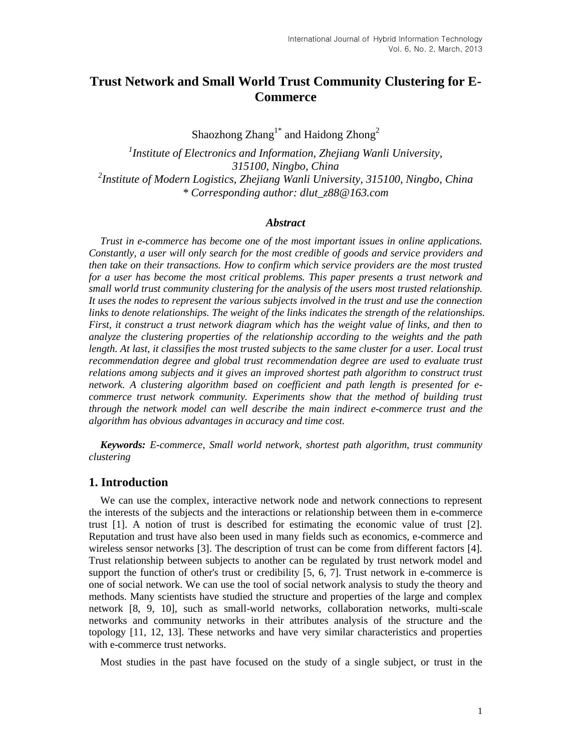# **Trust Network and Small World Trust Community Clustering for E-Commerce**

Shaozhong  $Z$ hang $1^*$  and Haidong  $Z$ hong $^2$ 

*1 Institute of Electronics and Information, Zhejiang Wanli University, 315100, Ningbo, China 2 Institute of Modern Logistics, Zhejiang Wanli University, 315100, Ningbo, China \* Corresponding author: dlut\_z88@163.com*

#### *Abstract*

*Trust in e-commerce has become one of the most important issues in online applications. Constantly, a user will only search for the most credible of goods and service providers and then take on their transactions. How to confirm which service providers are the most trusted for a user has become the most critical problems. This paper presents a trust network and small world trust community clustering for the analysis of the users most trusted relationship. It uses the nodes to represent the various subjects involved in the trust and use the connection links to denote relationships. The weight of the links indicates the strength of the relationships. First, it construct a trust network diagram which has the weight value of links, and then to analyze the clustering properties of the relationship according to the weights and the path length. At last, it classifies the most trusted subjects to the same cluster for a user. Local trust recommendation degree and global trust recommendation degree are used to evaluate trust relations among subjects and it gives an improved shortest path algorithm to construct trust network. A clustering algorithm based on coefficient and path length is presented for ecommerce trust network community. Experiments show that the method of building trust through the network model can well describe the main indirect e-commerce trust and the algorithm has obvious advantages in accuracy and time cost.*

*Keywords: E-commerce, Small world network, shortest path algorithm, trust community clustering*

## **1. Introduction**

We can use the complex, interactive network node and network connections to represent the interests of the subjects and the interactions or relationship between them in e-commerce trust [1]. A notion of trust is described for estimating the economic value of trust [2]. Reputation and trust have also been used in many fields such as economics, e-commerce and wireless sensor networks [3]. The description of trust can be come from different factors [4]. Trust relationship between subjects to another can be regulated by trust network model and support the function of other's trust or credibility [5, 6, 7]. Trust network in e-commerce is one of social network. We can use the tool of social network analysis to study the theory and methods. Many scientists have studied the structure and properties of the large and complex network [8, 9, 10], such as small-world networks, collaboration networks, multi-scale networks and community networks in their attributes analysis of the structure and the topology [11, 12, 13]. These networks and have very similar characteristics and properties with e-commerce trust networks.

Most studies in the past have focused on the study of a single subject, or trust in the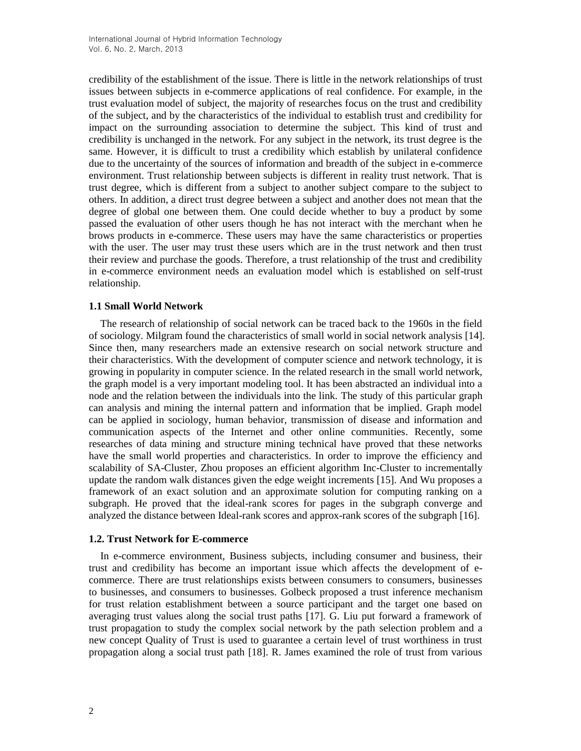credibility of the establishment of the issue. There is little in the network relationships of trust issues between subjects in e-commerce applications of real confidence. For example, in the trust evaluation model of subject, the majority of researches focus on the trust and credibility of the subject, and by the characteristics of the individual to establish trust and credibility for impact on the surrounding association to determine the subject. This kind of trust and credibility is unchanged in the network. For any subject in the network, its trust degree is the same. However, it is difficult to trust a credibility which establish by unilateral confidence due to the uncertainty of the sources of information and breadth of the subject in e-commerce environment. Trust relationship between subjects is different in reality trust network. That is trust degree, which is different from a subject to another subject compare to the subject to others. In addition, a direct trust degree between a subject and another does not mean that the degree of global one between them. One could decide whether to buy a product by some passed the evaluation of other users though he has not interact with the merchant when he brows products in e-commerce. These users may have the same characteristics or properties with the user. The user may trust these users which are in the trust network and then trust their review and purchase the goods. Therefore, a trust relationship of the trust and credibility in e-commerce environment needs an evaluation model which is established on self-trust relationship.

### **1.1 Small World Network**

The research of relationship of social network can be traced back to the 1960s in the field of sociology. Milgram found the characteristics of small world in social network analysis [14]. Since then, many researchers made an extensive research on social network structure and their characteristics. With the development of computer science and network technology, it is growing in popularity in computer science. In the related research in the small world network, the graph model is a very important modeling tool. It has been abstracted an individual into a node and the relation between the individuals into the link. The study of this particular graph can analysis and mining the internal pattern and information that be implied. Graph model can be applied in sociology, human behavior, transmission of disease and information and communication aspects of the Internet and other online communities. Recently, some researches of data mining and structure mining technical have proved that these networks have the small world properties and characteristics. In order to improve the efficiency and scalability of SA-Cluster, Zhou proposes an efficient algorithm Inc-Cluster to incrementally update the random walk distances given the edge weight increments [15]. And Wu proposes a framework of an exact solution and an approximate solution for computing ranking on a subgraph. He proved that the ideal-rank scores for pages in the subgraph converge and analyzed the distance between Ideal-rank scores and approx-rank scores of the subgraph [16].

### **1.2. Trust Network for E-commerce**

In e-commerce environment, Business subjects, including consumer and business, their trust and credibility has become an important issue which affects the development of ecommerce. There are trust relationships exists between consumers to consumers, businesses to businesses, and consumers to businesses. Golbeck proposed a trust inference mechanism for trust relation establishment between a source participant and the target one based on averaging trust values along the social trust paths [17]. G. Liu put forward a framework of trust propagation to study the complex social network by the path selection problem and a new concept Quality of Trust is used to guarantee a certain level of trust worthiness in trust propagation along a social trust path [18]. R. James examined the role of trust from various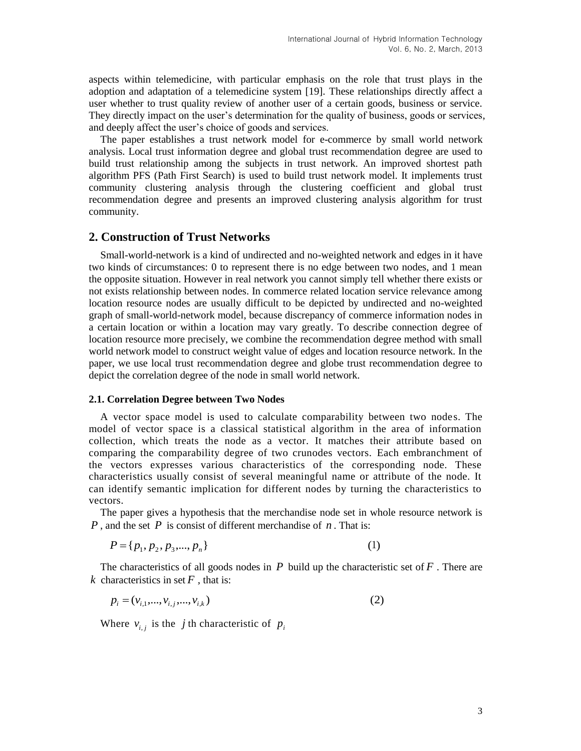aspects within telemedicine, with particular emphasis on the role that trust plays in the adoption and adaptation of a telemedicine system [19]. These relationships directly affect a user whether to trust quality review of another user of a certain goods, business or service. They directly impact on the user's determination for the quality of business, goods or services, and deeply affect the user's choice of goods and services.

The paper establishes a trust network model for e-commerce by small world network analysis. Local trust information degree and global trust recommendation degree are used to build trust relationship among the subjects in trust network. An improved shortest path algorithm PFS (Path First Search) is used to build trust network model. It implements trust community clustering analysis through the clustering coefficient and global trust recommendation degree and presents an improved clustering analysis algorithm for trust community.

# **2. Construction of Trust Networks**

Small-world-network is a kind of undirected and no-weighted network and edges in it have two kinds of circumstances: 0 to represent there is no edge between two nodes, and 1 mean the opposite situation. However in real network you cannot simply tell whether there exists or not exists relationship between nodes. In commerce related location service relevance among location resource nodes are usually difficult to be depicted by undirected and no-weighted graph of small-world-network model, because discrepancy of commerce information nodes in a certain location or within a location may vary greatly. To describe connection degree of location resource more precisely, we combine the recommendation degree method with small world network model to construct weight value of edges and location resource network. In the paper, we use local trust recommendation degree and globe trust recommendation degree to depict the correlation degree of the node in small world network.

#### **2.1. Correlation Degree between Two Nodes**

A vector space model is used to calculate comparability between two nodes. The model of vector space is a classical statistical algorithm in the area of information collection, which treats the node as a vector. It matches their attribute based on comparing the comparability degree of two crunodes vectors. Each embranchment of the vectors expresses various characteristics of the corresponding node. These characteristics usually consist of several meaningful name or attribute of the node. It can identify semantic implication for different nodes by turning the characteristics to vectors.

The paper gives a [hypothesis](javascript:void(0)) that the merchandise node set in whole resource network is  $P$ , and the set  $P$  is consist of different merchandise of  $n$ . That is:

$$
P = \{p_1, p_2, p_3, \dots, p_n\}
$$
 (1)

The characteristics of all goods nodes in  $P$  [build up](javascript:void(0)) the characteristic set of  $F$ . There are *k* characteristics in set  $F$ , that is:

$$
p_i = (v_{i,1}, \dots, v_{i,j}, \dots, v_{i,k})
$$
 (2)

Where  $v_{i,j}$  is the *j* th characteristic of  $p_i$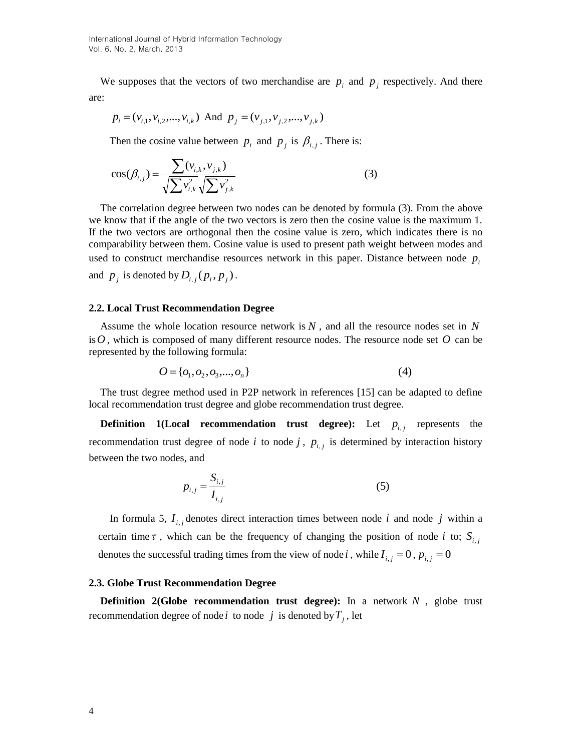We [supposes](javascript:void(0)) that the vectors of two merchandise are  $p_i$  and  $p_j$  [respectively.](javascript:void(0)) And there are:

$$
p_i = (v_{i,1}, v_{i,2}, \dots, v_{i,k})
$$
 And  $p_j = (v_{j,1}, v_{j,2}, \dots, v_{j,k})$ 

Then the cosine value between  $p_i$  and  $p_j$  is  $\beta_{i,j}$ . There is:

$$
\cos(\beta_{i,j}) = \frac{\sum (v_{i,k}, v_{j,k})}{\sqrt{\sum v_{i,k}^2} \sqrt{\sum v_{j,k}^2}}
$$
(3)

The correlation degree between two nodes can be denoted by formula (3). From the above we know that if the angle of the two vectors is zero then the cosine value is the maximum 1. If the two vectors are orthogonal then the cosine value is zero, which indicates there is no [comparability](javascript:void(0)) between them. Cosine value is used to present path weight between modes and used to construct merchandise resources network in this paper. Distance between node  $p_i$ and  $p_j$  is denoted by  $D_{i,j}(p_i, p_j)$ .

#### **2.2. [Local](http://dict.cnki.net/dict_result.aspx?searchword=%e5%b1%80%e9%83%a8&tjType=sentence&style=&t=partial) Trust Recommendation Degree**

Assume the whole location resource network is *N* , and all the resource nodes set in *N* is  $O$ , which is composed of many different resource nodes. The resource node set  $O$  can be represented by the following formula:

$$
O = \{o_1, o_2, o_3, \dots, o_n\}
$$
 (4)

The trust degree method used in P2P network in references [15] can be adapted to define local recommendation trust degree and globe recommendation trust degree.

**Definition** 1(Local recommendation trust degree): Let  $p_{i,j}$  represents the recommendation trust degree of node  $i$  to node  $j$ ,  $p_{i,j}$  is determined by interaction history between the two nodes, and

$$
p_{i,j} = \frac{S_{i,j}}{I_{i,j}}
$$
 (5)

In formula 5,  $I_{i,j}$  denotes direct interaction times between node *i* and node *j* within a certain time  $\tau$ , which can be the frequency of changing the position of node *i* to;  $S_{i,j}$ denotes the successful trading times from the view of node *i*, while  $I_{i,j} = 0$ ,  $p_{i,j} = 0$ 

#### **2.3. Globe Trust Recommendation Degree**

**Definition 2(Globe recommendation trust degree):** In a network *N* , globe trust recommendation degree of node *i* to node *j* is denoted by  $T_j$ , let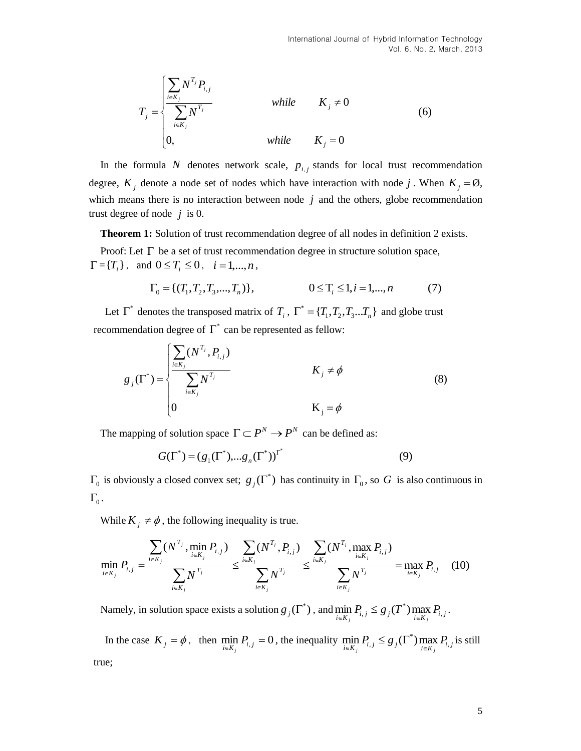$$
T_{j} = \begin{cases} \sum_{i \in K_{j}} N^{T_{j}} P_{i,j} \\ \sum_{i \in K_{j}} N^{T_{j}} \\ 0, \end{cases} \qquad while \qquad K_{j} \neq 0
$$
 (6)

In the formula N denotes network scale,  $p_{i,j}$  stands for local trust recommendation degree,  $K_j$  denote a node set of nodes which have interaction with node j. When  $K_j = \emptyset$ , which means there is no interaction between node  $j$  and the others, globe recommendation trust degree of node  $j$  is 0.

**Theorem 1:** Solution of trust recommendation degree of all nodes in definition 2 exists.

Proof: Let  $\Gamma$  be a set of trust recommendation degree in structure solution space,  $\Gamma = \{ T_i \}$ , and  $0 \le T_i \le 0$ ,  $i = 1,...,n$ ,

$$
\Gamma_0 = \{ (T_1, T_2, T_3, \dots, T_n) \}, \qquad 0 \le T_i \le 1, i = 1, \dots, n \tag{7}
$$

Let  $\Gamma^*$  denotes the transposed matrix of  $T_i$ ,  $\Gamma^* = \{T_1, T_2, T_3...T_n\}$  and globe trust recommendation degree of  $\Gamma^*$  can be represented as fellow:

$$
g_j(\Gamma^*) = \begin{cases} \sum_{i \in K_j} (N^{T_j}, P_{i,j}) & K_j \neq \phi \\ \sum_{i \in K_j} N^{T_j} & K_j = \phi \\ 0 & K_j = \phi \end{cases}
$$
 (8)

The mapping of solution space  $\Gamma \subset P^N \to P^N$  can be defined as:

$$
G(\Gamma^*) = (g_1(\Gamma^*), ..., g_n(\Gamma^*))^{\Gamma^*}
$$
 (9)

 $\Gamma_0$  is obviously a closed convex set;  $g_j(\Gamma^*)$  has continuity in  $\Gamma_0$ , so G is also continuous in  $\Gamma_{0}$  .

While  $K_j \neq \phi$ , the following inequality is true.

$$
\min_{i \in K_j} P_{i,j} = \frac{\sum_{i \in K_j} (N^{T_j}, \min_{i \in K_j} P_{i,j})}{\sum_{i \in K_j} N^{T_j}} \le \frac{\sum_{i \in K_j} (N^{T_j}, P_{i,j})}{\sum_{i \in K_j} N^{T_j}} \le \frac{\sum_{i \in K_j} (N^{T_j}, \max_{i \in K_j} P_{i,j})}{\sum_{i \in K_j} N^{T_j}} = \max_{i \in K_j} P_{i,j} \quad (10)
$$

Namely, in solution space exists a solution  $g_j(\Gamma^*)$ , and  $\min_{i \in K_j} P_{i,j} \leq g_j(T^*) \max_{i \in K_j} P_{i,j}$ .

In the case  $K_j = \phi$ , then  $\min_{i \in K_j} P_{i,j} = 0$ , the inequality  $\min_{i \in K_j} P_{i,j} \leq g_j(\Gamma^*) \max_{i \in K_j} P_{i,j}$  is still true;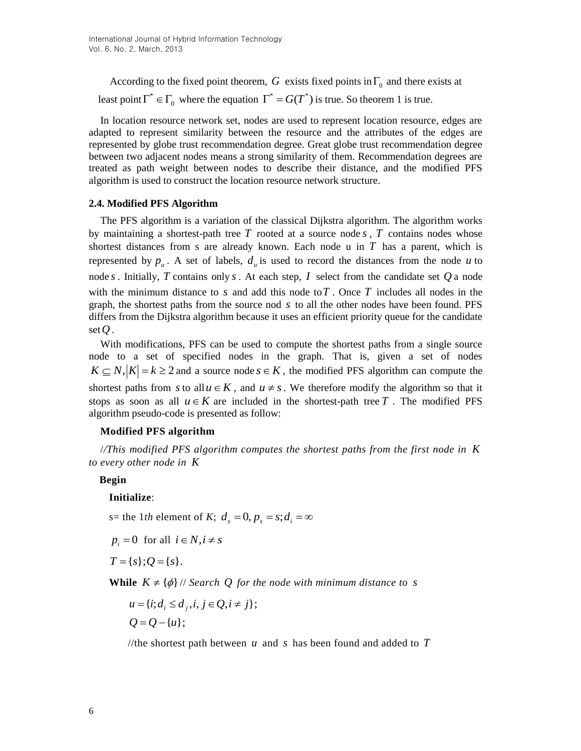According to the fixed point theorem, G exists fixed points in  $\Gamma_0$  and there exists at least point  $\Gamma^* \in \Gamma_0$  where the equation  $\Gamma^* = G(T^*)$  is true. So theorem 1 is true.

In location resource network set, nodes are used to represent location resource, edges are adapted to represent similarity between the resource and the attributes of the edges are represented by globe trust recommendation degree. Great globe trust recommendation degree between two adjacent nodes means a strong similarity of them. Recommendation degrees are treated as path weight between nodes to describe their distance, and the modified PFS algorithm is used to construct the location resource network structure.

#### **2.4. Modified PFS Algorithm**

The PFS algorithm is a variation of the classical Dijkstra algorithm. The algorithm works by maintaining a shortest-path tree  $T$  rooted at a source node  $s$ ,  $T$  contains nodes whose shortest distances from s are already known. Each node  $u$  in  $T$  has a parent, which is represented by  $p_u$ . A set of labels,  $d_u$  is used to record the distances from the node u to node *s* . Initially, *T* contains only *s* . At each step, *I* select from the candidate set *Q* a node with the minimum distance to  $s$  and add this node to  $T$ . Once  $T$  includes all nodes in the graph, the shortest paths from the source nod *s* to all the other nodes have been found. PFS differs from the Dijkstra algorithm because it uses an efficient priority queue for the candidate set  $Q$  .

With modifications, PFS can be used to compute the shortest paths from a single source node to a set of specified nodes in the graph. That is, given a set of nodes  $K \subseteq N, |K| = k \ge 2$  and a source node  $s \in K$ , the modified PFS algorithm can compute the shortest paths from s to all  $u \in K$ , and  $u \neq s$ . We therefore modify the algorithm so that it stops as soon as all  $u \in K$  are included in the shortest-path tree T. The modified PFS algorithm pseudo-code is presented as follow:

### **Modified PFS algorithm**

/*/This modified PFS algorithm computes the shortest paths from the first node in K to every other node in K*

**Begin**

#### **Initialize**:

s= the 1*th* element of *K*;  $d_s = 0$ ,  $p_s = s$ ;  $d_i = \infty$ 

 $p_i = 0$  for all  $i \in N, i \neq s$ 

 $T = \{s\}; Q = \{s\}.$ 

**While**  $K \neq {\phi}$  // *Search Q for the node with minimum distance to <i>s* 

 $Q = Q - \{u\};$  $u = \{i; d_i \leq d_j, i, j \in Q, i \neq j\};$ 

//the shortest path between  $u$  and  $s$  has been found and added to  $T$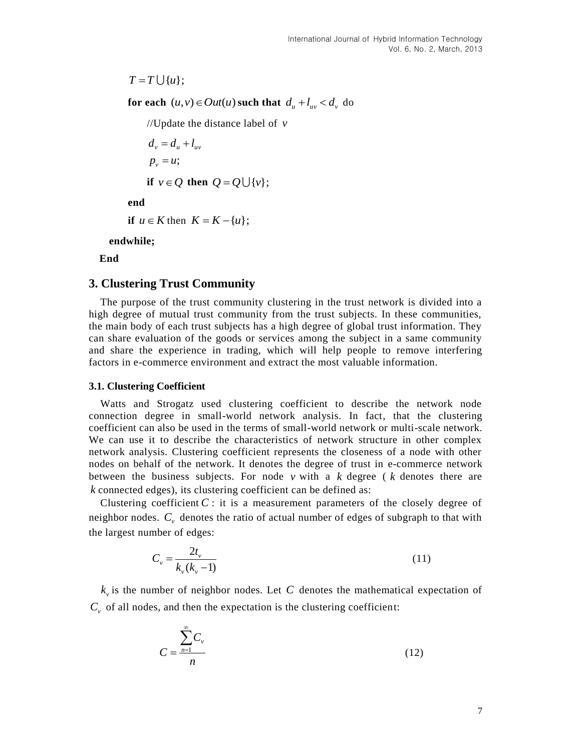$T = T \cup \{u\};$ 

**for each**  $(u, v) \in Out(u)$  such that  $d_u + l_{uv} < d_v$  do

//Update the distance label of *v*

 $p_v = u;$  $d_v = d_u + l_{uv}$ **if**  $v \in Q$  then  $Q = Q \cup \{v\}$ ;

**end**

**if**  $u \in K$  then  $K = K - \{u\};$ 

**endwhile;**

**End**

# **3. Clustering Trust Community**

The purpose of the trust community clustering in the trust network is divided into a high degree of mutual trust community from the trust subjects. In these communities, the main body of each trust subjects has a high degree of global trust information. They can share evaluation of the goods or services among the subject in a same community and share the experience in trading, which will help people to remove interfering factors in e-commerce environment and extract the most valuable information.

#### **3.1. Clustering Coefficient**

Watts and Strogatz used clustering coefficient to describe the network node connection degree in small-world network analysis. In fact, that the clustering coefficient can also be used in the terms of small-world network or multi-scale network. We can use it to describe the characteristics of network structure in other complex network analysis. Clustering coefficient represents the closeness of a node with other nodes on behalf of the network. It denotes the degree of trust in e-commerce network between the business subjects. For node  $v$  with a  $k$  degree ( $k$  denotes there are *k* connected edges), its clustering coefficient can be defined as:

Clustering coefficient  $C$ : it is a measurement parameters of the closely degree of neighbor nodes. *Cv* denotes the ratio of actual number of edges of subgraph to that with the largest number of edges:

$$
C_v = \frac{2t_v}{k_v(k_v - 1)}
$$
\n(11)

 $k_{v}$  is the number of neighbor nodes. Let C denotes the mathematical expectation of  $C<sub>v</sub>$  of all nodes, and then the expectation is the clustering coefficient:

$$
C = \frac{\sum_{n=1}^{\infty} C_{\nu}}{n}
$$
 (12)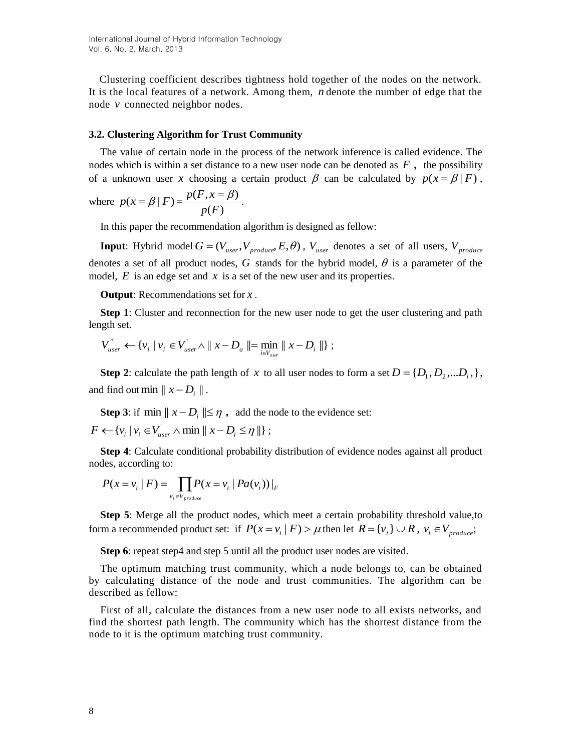Clustering coefficient describes tightness hold together of the nodes on the network. It is the local features of a network. Among them, *n* denote the number of edge that the node *v* connected neighbor nodes.

#### **3.2. Clustering Algorithm for Trust Community**

The value of certain node in the process of the network inference is called evidence. The nodes which is within a set distance to a new user node can be denoted as  $F$ , the possibility of a unknown user x choosing a certain product  $\beta$  can be calculated by  $p(x = \beta | F)$ ,

where 
$$
p(x = \beta | F) = \frac{p(F, x = \beta)}{p(F)}
$$
.

In this paper the recommendation algorithm is designed as fellow:

**Input**: Hybrid model  $G = (V_{user}, V_{produce}, E, \theta)$ ,  $V_{user}$  denotes a set of all users,  $V_{produce}$ denotes a set of all product nodes, G stands for the hybrid model,  $\theta$  is a parameter of the model,  $E$  is an edge set and  $x$  is a set of the new user and its properties.

**Output**: Recommendations set for *x* .

**Step 1**: Cluster and reconnection for the new user node to get the user clustering and path length set.

$$
V_{user}^{\dagger} \leftarrow \{v_i \mid v_i \in V_{user}^{\dagger} \land ||x - D_a|| = \min_{i \in V_{user}} ||x - D_i||\};
$$

**Step 2**: calculate the path length of x to all user nodes to form a set  $D = \{D_1, D_2, \dots D_i\}$ , and find out min  $||x-D_i||$ .

**Step 3**: if  $\min \| x - D_i \| \leq \eta$ , add the node to the evidence set:

 $F \leftarrow \{v_i | v_i \in V'_{user} \land \min || x - D_i \leq \eta || \};$ 

**Step 4**: Calculate conditional probability distribution of evidence nodes against all product nodes, according to:

$$
P(x = v_i \mid F) = \prod_{v_i \in V_{produce}} P(x = v_i \mid Pa(v_i)) \mid F
$$

**Step 5**: Merge all the product nodes, which meet a certain probability threshold value,to form a recommended product set: if  $P(x = v_i | F) > \mu$  then let  $R = \{v_i\} \cup R$ ,  $v_i \in V_{\text{produce}}$ ;

**Step 6**: repeat step4 and step 5 until all the product user nodes are visited.

The optimum matching trust community, which a node belongs to, can be obtained by calculating distance of the node and trust communities. The algorithm can be described as fellow:

First of all, calculate the distances from a new user node to all exists networks, and find the shortest path length. The community which has the shortest distance from the node to it is the optimum matching trust community.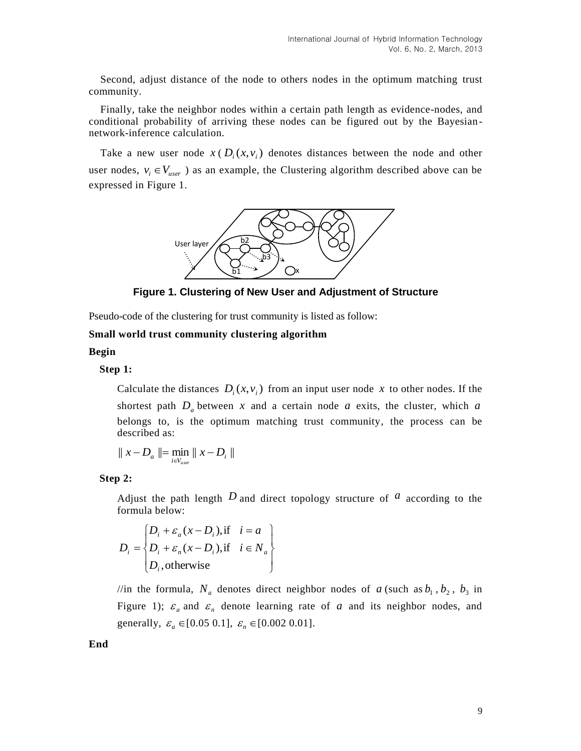Second, adjust distance of the node to others nodes in the optimum matching trust community.

Finally, take the neighbor nodes within a certain path length as evidence-nodes, and conditional probability of arriving these nodes can be figured out by the Bayesiannetwork-inference calculation.

Take a new user node  $x \in D_i(x, v_i)$  denotes distances between the node and other user nodes,  $v_i \in V_{user}$  as an example, the Clustering algorithm described above can be expressed in Figure 1.



**Figure 1. Clustering of New User and Adjustment of Structure**

Pseudo-code of the clustering for trust community is listed as follow:

**Small world trust community clustering algorithm**

### **Begin**

### **Step 1:**

Calculate the distances  $D_i(x, v_i)$  from an input user node x to other nodes. If the shortest path  $D_a$  between x and a certain node a exits, the cluster, which a belongs to, is the optimum matching trust community, the process can be described as:

$$
\parallel x-D_a \parallel = \min_{i \in V_{user}} \parallel x-D_i \parallel
$$

#### **Step 2:**

Adjust the path length  $D$  and direct topology structure of  $\alpha$  according to the formula below:

$$
D_i = \begin{cases} D_i + \varepsilon_a (x - D_i), & \text{if } i = a \\ D_i + \varepsilon_n (x - D_i), & \text{if } i \in N_a \\ D_i, & \text{otherwise} \end{cases}
$$

//in the formula,  $N_a$  denotes direct neighbor nodes of a (such as  $b_1$ ,  $b_2$ ,  $b_3$  in Figure 1);  $\varepsilon_a$  and  $\varepsilon_n$  denote learning rate of a and its neighbor nodes, and generally,  $\varepsilon_a \in [0.05 \ 0.1]$ ,  $\varepsilon_n \in [0.002 \ 0.01]$ .

**End**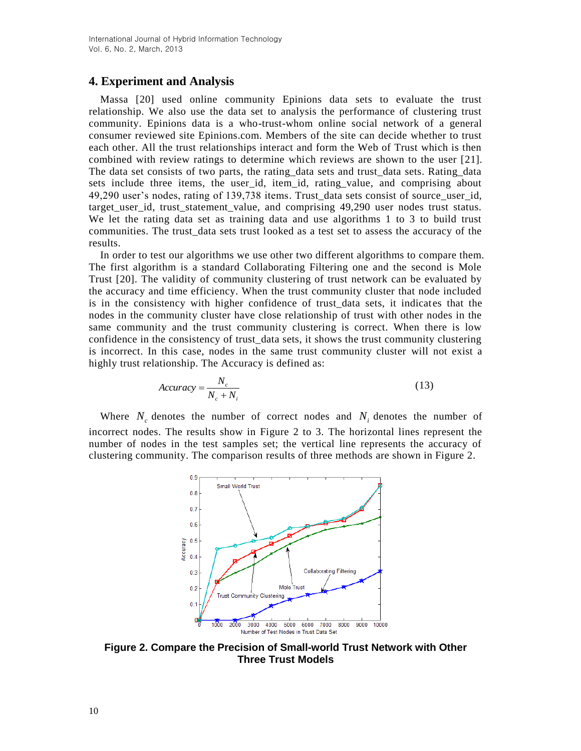## **4. Experiment and Analysis**

Massa [20] used online community Epinions data sets to evaluate the trust relationship. We also use the data set to analysis the performance of clustering trust community. Epinions data is a who-trust-whom online social network of a general consumer reviewed site Epinions.com. Members of the site can decide whether to trust each other. All the trust relationships interact and form the Web of Trust which is then combined with review ratings to determine which reviews are shown to the user [21]. The data set consists of two parts, the rating\_data sets and trust\_data sets. Rating\_data sets include three items, the user\_id, item\_id, rating\_value, and comprising about 49,290 user's nodes, rating of 139,738 items. Trust\_data sets consist of source\_user\_id, target\_user\_id, trust\_statement\_value, and comprising 49,290 user nodes trust status. We let the rating data set as training data and use algorithms 1 to 3 to build trust communities. The trust\_data sets trust looked as a test set to assess the accuracy of the results.

In order to test our algorithms we use other two different algorithms to compare them. The first algorithm is a standard Collaborating Filtering one and the second is Mole Trust [20]. The validity of community clustering of trust network can be evaluated by the accuracy and time efficiency. When the trust community cluster that node included is in the consistency with higher confidence of trust data sets, it indicates that the nodes in the community cluster have close relationship of trust with other nodes in the same community and the trust community clustering is correct. When there is low confidence in the consistency of trust\_data sets, it shows the trust community clustering is incorrect. In this case, nodes in the same trust community cluster will not exist a highly trust relationship. The Accuracy is defined as:

$$
Accuracy = \frac{N_c}{N_c + N_i}
$$
 (13)

Where  $N_c$  denotes the number of correct nodes and  $N_i$  denotes the number of incorrect nodes. The results show in Figure 2 to 3. The horizontal lines represent the number of nodes in the test samples set; the vertical line represents the accuracy of clustering community. The comparison results of three methods are shown in Figure 2.



**Figure 2. Compare the Precision of Small-world Trust Network with Other Three Trust Models**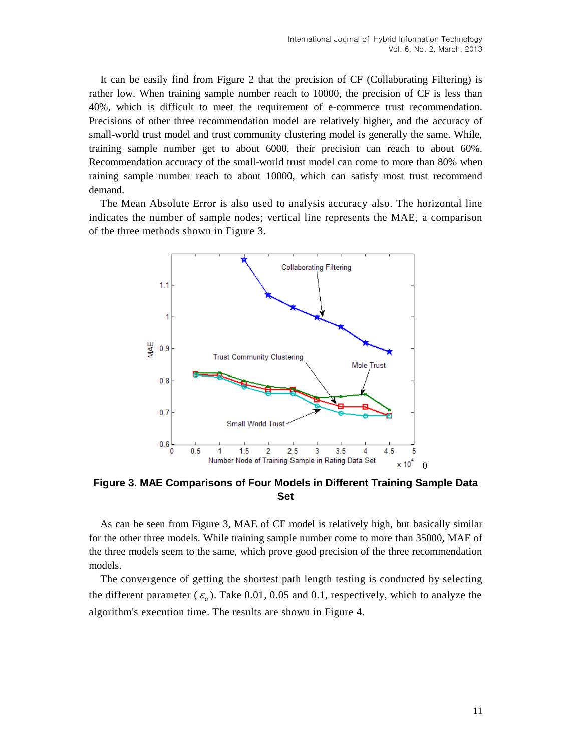It can be easily find from Figure 2 that the precision of CF (Collaborating Filtering) is rather low. When training sample number reach to 10000, the precision of CF is less than 40%, which is difficult to meet the requirement of e-commerce trust recommendation. Precisions of other three recommendation model are relatively higher, and the accuracy of small-world trust model and trust community clustering model is generally the same. While, training sample number get to about 6000, their precision can reach to about 60%. Recommendation accuracy of the small-world trust model can come to more than 80% when raining sample number reach to about 10000, which can satisfy most trust recommend demand.

The Mean Absolute Error is also used to analysis accuracy also. The horizontal line indicates the number of sample nodes; vertical line represents the MAE, a comparison of the three methods shown in Figure 3.



**Figure 3. MAE Comparisons of Four Models in Different Training Sample Data Set**

As can be seen from Figure 3, MAE of CF model is relatively high, but basically similar for the other three models. While training sample number come to more than 35000, MAE of the three models seem to the same, which prove good precision of the three recommendation models.

The convergence of getting the shortest path length testing is conducted by selecting the different parameter  $(\varepsilon_a)$ . Take 0.01, 0.05 and 0.1, respectively, which to analyze the algorithm's execution time. The results are shown in Figure 4.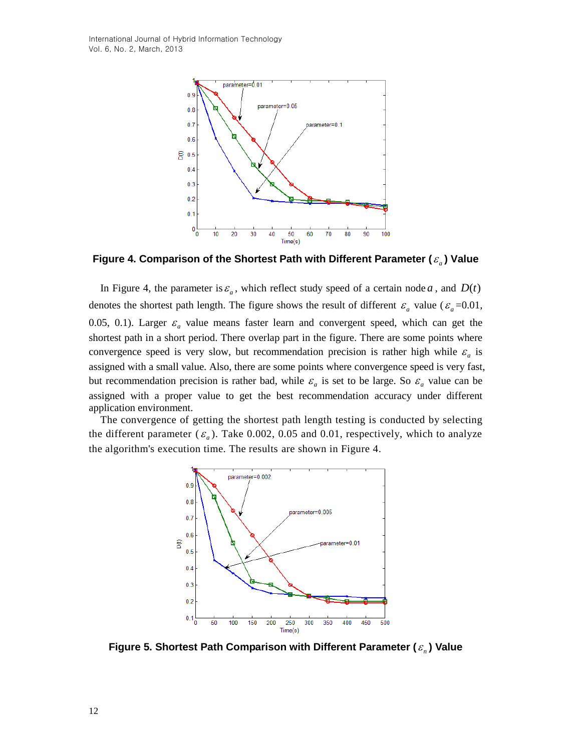International Journal of Hybrid Information Technology Vol. 6, No. 2, March, 2013



**Figure 4. Comparison of the Shortest Path with Different Parameter (** *a* **) Value**

In Figure 4, the parameter is  $\varepsilon_a$ , which reflect study speed of a certain node a, and  $D(t)$ denotes the shortest path length. The figure shows the result of different  $\varepsilon_a$  value ( $\varepsilon_a$ =0.01, 0.05, 0.1). Larger  $\varepsilon_a$  value means faster learn and convergent speed, which can get the shortest path in a short period. There overlap part in the figure. There are some points where convergence speed is very slow, but recommendation precision is rather high while  $\varepsilon_a$  is assigned with a small value. Also, there are some points where convergence speed is very fast, but recommendation precision is rather bad, while  $\varepsilon_a$  is set to be large. So  $\varepsilon_a$  value can be assigned with a proper value to get the best recommendation accuracy under different application environment.

The convergence of getting the shortest path length testing is conducted by selecting the different parameter  $(\varepsilon_a)$ . Take 0.002, 0.05 and 0.01, respectively, which to analyze the algorithm's execution time. The results are shown in Figure 4.



**Figure 5. Shortest Path Comparison with Different Parameter (** *n* **) Value**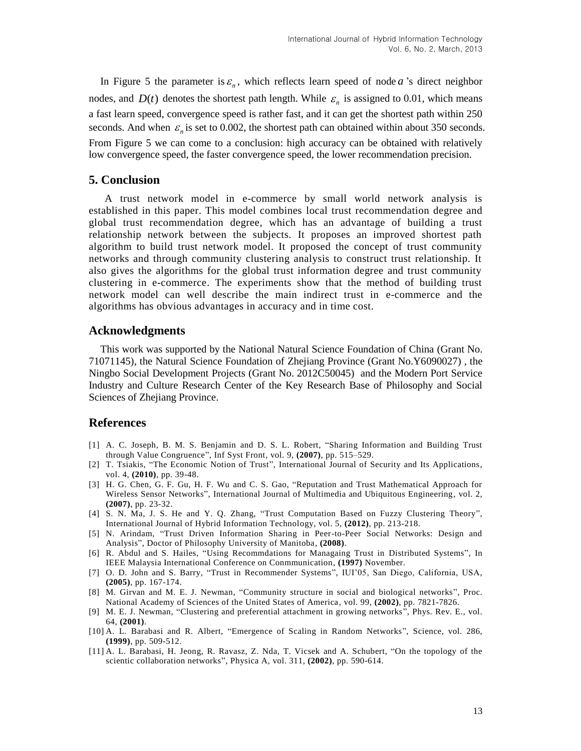In Figure 5 the parameter is  $\varepsilon_n$ , which reflects learn speed of node *a*'s direct neighbor nodes, and  $D(t)$  denotes the shortest path length. While  $\varepsilon_n$  is assigned to 0.01, which means a fast learn speed, convergence speed is rather fast, and it can get the shortest path within 250 seconds. And when  $\varepsilon_n$  is set to 0.002, the shortest path can obtained within about 350 seconds. From Figure 5 we can come to a conclusion: high accuracy can be obtained with relatively low convergence speed, the faster convergence speed, the lower recommendation precision.

# **5. Conclusion**

A trust network model in e-commerce by small world network analysis is established in this paper. This model combines local trust recommendation degree and global trust recommendation degree, which has an advantage of building a trust relationship network between the subjects. It proposes an improved shortest path algorithm to build trust network model. It proposed the concept of trust community networks and through community clustering analysis to construct trust relationship. It also gives the algorithms for the global trust information degree and trust community clustering in e-commerce. The experiments show that the method of building trust network model can well describe the main indirect trust in e-commerce and the algorithms has obvious advantages in accuracy and in time cost.

# **Acknowledgments**

This work was supported by the National Natural Science Foundation of China (Grant No. 71071145), the Natural Science Foundation of Zhejiang Province (Grant No.Y6090027) , the Ningbo Social Development Projects (Grant No. 2012C50045) and the Modern Port Service Industry and Culture Research Center of the Key Research Base of Philosophy and Social Sciences of Zhejiang Province.

### **References**

- [1] A. C. Joseph, B. M. S. Benjamin and D. S. L. Robert, "Sharing Information and Building Trust through Value Congruence", Inf Syst Front, vol. 9, **(2007)**, pp. 515–529.
- [2] T. Tsiakis, "The Economic Notion of Trust", International Journal of Security and Its Applications, vol. 4, **(2010)**, pp. 39-48.
- [3] H. G. Chen, G. F. Gu, H. F. Wu and C. S. Gao, "Reputation and Trust Mathematical Approach for Wireless Sensor Networks", International Journal of Multimedia and Ubiquitous Engineering, vol. 2, **(2007)**, pp. 23-32.
- [4] S. N. Ma, J. S. He and Y. Q. Zhang, "Trust Computation Based on Fuzzy Clustering Theory", International Journal of Hybrid Information Technology, vol. 5, **(2012)**, pp. 213-218.
- [5] N. Arindam, "Trust Driven Information Sharing in Peer-to-Peer Social Networks: Design and Analysis", Doctor of Philosophy University of Manitoba, **(2008)**.
- [6] R. Abdul and S. Hailes, "Using Recommdations for Managaing Trust in Distributed Systems", In IEEE Malaysia International Conference on Conmmunication, **(1997)** November.
- [7] O. D. John and S. Barry, "Trust in Recommender Systems", IUI'05, San Diego, California, USA, **(2005)**, pp. 167-174.
- [8] M. Girvan and M. E. J. Newman, "Community structure in social and biological networks", Proc. National Academy of Sciences of the United States of America, vol. 99, **(2002)**, pp. 7821-7826.
- [9] M. E. J. Newman, "Clustering and preferential attachment in growing networks", Phys. Rev. E., vol. 64, **(2001)**.
- [10] A. L. Barabasi and R. Albert, "Emergence of Scaling in Random Networks", Science, vol. 286, **(1999)**, pp. 509-512.
- [11] A. L. Barabasi, H. Jeong, R. Ravasz, Z. Nda, T. Vicsek and A. Schubert, "On the topology of the scientic collaboration networks", Physica A, vol. 311, **(2002)**, pp. 590-614.